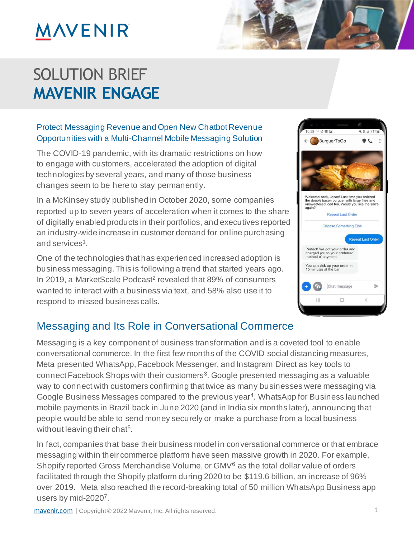### SOLUTION BRIEF **MAVENIR ENGAGE**

#### Protect Messaging Revenue and Open New Chatbot Revenue Opportunities with a Multi-Channel Mobile Messaging Solution

The COVID-19 pandemic, with its dramatic restrictions on how to engage with customers, accelerated the adoption of digital technologies by several years, and many of those business changes seem to be here to stay permanently.

In a McKinsey study published in October 2020, some companies reported up to seven years of acceleration when it comes to the share of digitally enabled products in their portfolios, and executives reported an industry-wide increase in customer demand for online purchasing and services<sup>1</sup>.

One of the technologies that has experienced increased adoption is business messaging. This is following a trend that started years ago. In 2019, a MarketScale Podcast<sup>2</sup> revealed that 89% of consumers wanted to interact with a business via text, and 58% also use it to respond to missed business calls.

### Messaging and Its Role in Conversational Commerce

Messaging is a key component of business transformation and is a coveted tool to enable conversational commerce. In the first few months of the COVID social distancing measures, Meta presented WhatsApp, Facebook Messenger, and Instagram Direct as key tools to connect Facebook Shops with their customers<sup>3</sup>. Google presented messaging as a valuable way to connect with customers confirming that twice as many businesses were messaging via Google Business Messages compared to the previous year<sup>4</sup>. WhatsApp for Business launched mobile payments in Brazil back in June 2020 (and in India six months later), announcing that people would be able to send money securely or make a purchase from a local business without leaving their chat<sup>5</sup>.

In fact, companies that base their business model in conversational commerce or that embrace messaging within their commerce platform have seen massive growth in 2020. For example, Shopify reported Gross Merchandise Volume, or GMV<sup>6</sup> as the total dollar value of orders facilitated through the Shopify platform during 2020 to be \$119.6 billion, an increase of 96% over 2019. Meta also reached the record-breaking total of 50 million WhatsApp Business app users by mid-2020<sup>7</sup>.



 $S$  O  $\rightarrow$   $S$   $\rightarrow$   $S$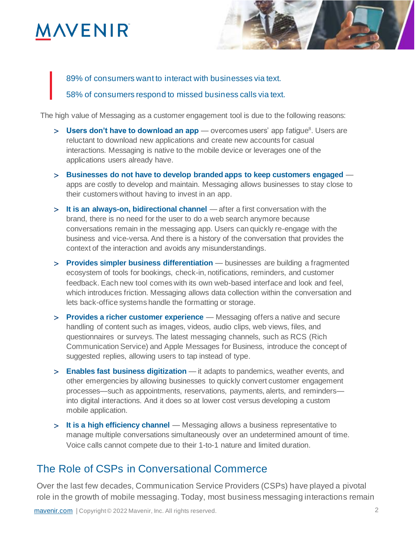## **ANENIR**



89% of consumers want to interact with businesses via text.

58% of consumers respond to missed business calls via text.

The high value of Messaging as a customer engagement tool is due to the following reasons:

- > Users don't have to download an app overcomes users' app fatigue<sup>8</sup>. Users are reluctant to download new applications and create new accounts for casual interactions. Messaging is native to the mobile device or leverages one of the applications users already have.
- **Businesses do not have to develop branded apps to keep customers engaged**  apps are costly to develop and maintain. Messaging allows businesses to stay close to their customers without having to invest in an app.
- **It is an always-on, bidirectional channel** after a first conversation with the brand, there is no need for the user to do a web search anymore because conversations remain in the messaging app. Users can quickly re-engage with the business and vice-versa. And there is a history of the conversation that provides the context of the interaction and avoids any misunderstandings.
- **Provides simpler business differentiation**  businesses are building a fragmented ecosystem of tools for bookings, check-in, notifications, reminders, and customer feedback. Each new tool comes with its own web-based interface and look and feel, which introduces friction. Messaging allows data collection within the conversation and lets back-office systems handle the formatting or storage.
- **Provides a richer customer experience**  Messaging offers a native and secure handling of content such as images, videos, audio clips, web views, files, and questionnaires or surveys. The latest messaging channels, such as RCS (Rich Communication Service) and Apple Messages for Business, introduce the concept of suggested replies, allowing users to tap instead of type.
- **Enables fast business digitization** it adapts to pandemics, weather events, and other emergencies by allowing businesses to quickly convert customer engagement processes—such as appointments, reservations, payments, alerts, and reminders into digital interactions. And it does so at lower cost versus developing a custom mobile application.
- **It is a high efficiency channel** Messaging allows a business representative to manage multiple conversations simultaneously over an undetermined amount of time. Voice calls cannot compete due to their 1-to-1 nature and limited duration.

#### The Role of CSPs in Conversational Commerce

Over the last few decades, Communication Service Providers (CSPs) have played a pivotal role in the growth of mobile messaging. Today, most business messaging interactions remain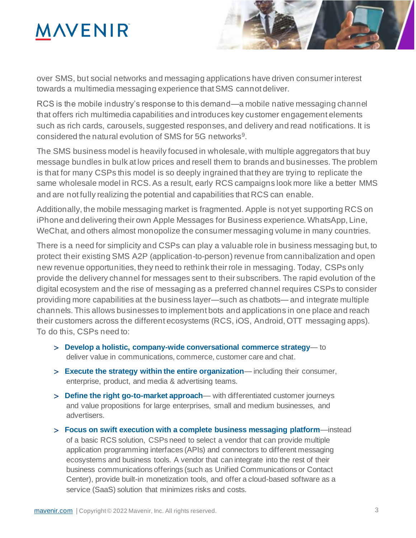

over SMS, but social networks and messaging applications have driven consumer interest towards a multimedia messaging experience that SMS cannot deliver.

RCS is the mobile industry's response to this demand—a mobile native messaging channel that offers rich multimedia capabilities and introduces key customer engagement elements such as rich cards, carousels, suggested responses, and delivery and read notifications. It is considered the natural evolution of SMS for 5G networks<sup>9</sup>.

The SMS business model is heavily focused in wholesale, with multiple aggregators that buy message bundles in bulk at low prices and resell them to brands and businesses. The problem is that for many CSPs this model is so deeply ingrained that they are trying to replicate the same wholesale model in RCS. As a result, early RCS campaigns look more like a better MMS and are not fully realizing the potential and capabilities that RCS can enable.

Additionally, the mobile messaging market is fragmented. Apple is not yet supporting RCS on iPhone and delivering their own Apple Messages for Business experience. WhatsApp, Line, WeChat, and others almost monopolize the consumer messaging volume in many countries.

There is a need for simplicity and CSPs can play a valuable role in business messaging but, to protect their existing SMS A2P (application-to-person) revenue from cannibalization and open new revenue opportunities, they need to rethink their role in messaging. Today, CSPs only provide the delivery channel for messages sent to their subscribers. The rapid evolution of the digital ecosystem and the rise of messaging as a preferred channel requires CSPs to consider providing more capabilities at the business layer—such as chatbots— and integrate multiple channels. This allows businesses to implement bots and applications in one place and reach their customers across the different ecosystems (RCS, iOS, Android, OTT messaging apps). To do this, CSPs need to:

- **Develop a holistic, company-wide conversational commerce strategy** to deliver value in communications, commerce, customer care and chat.
- **Execute the strategy within the entire organization** including their consumer, enterprise, product, and media & advertising teams.
- **Define the right go-to-market approach** with differentiated customer journeys and value propositions for large enterprises, small and medium businesses, and advertisers.
- **Focus on swift execution with a complete business messaging platform**—instead of a basic RCS solution, CSPs need to select a vendor that can provide multiple application programming interfaces (APIs) and connectors to different messaging ecosystems and business tools. A vendor that can integrate into the rest of their business communications offerings (such as Unified Communications or Contact Center), provide built-in monetization tools, and offer a cloud-based software as a service (SaaS) solution that minimizes risks and costs.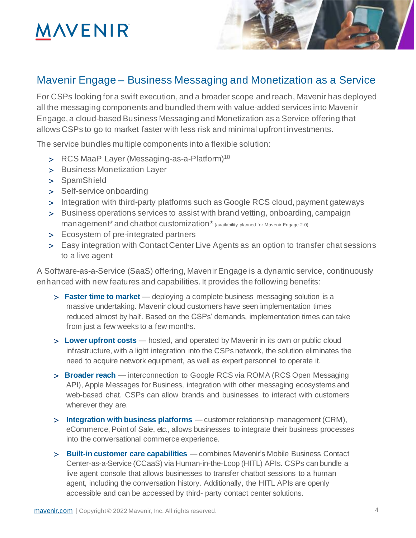

### Mavenir Engage – Business Messaging and Monetization as a Service

For CSPs looking for a swift execution, and a broader scope and reach, Mavenir has deployed all the messaging components and bundled them with value-added services into Mavenir Engage, a cloud-based Business Messaging and Monetization as a Service offering that allows CSPs to go to market faster with less risk and minimal upfront investments.

The service bundles multiple components into a flexible solution:

- > RCS MaaP Layer (Messaging-as-a-Platform)<sup>10</sup>
- > Business Monetization Layer
- > SpamShield
- > Self-service onboarding
- Integration with third-party platforms such as Google RCS cloud, payment gateways
- Business operations services to assist with brand vetting, onboarding, campaign management<sup>\*</sup> and chatbot customization<sup>\*</sup> (availability planned for Mavenir Engage 2.0)
- > Ecosystem of pre-integrated partners
- Easy integration with Contact Center Live Agents as an option to transfer chat sessions to a live agent

A Software-as-a-Service (SaaS) offering, Mavenir Engage is a dynamic service, continuously enhanced with new features and capabilities. It provides the following benefits:

- **Faster time to market**  deploying a complete business messaging solution is a massive undertaking. Mavenir cloud customers have seen implementation times reduced almost by half. Based on the CSPs' demands, implementation times can take from just a few weeks to a few months.
- **Lower upfront costs**  hosted, and operated by Mavenir in its own or public cloud infrastructure, with a light integration into the CSPs network, the solution eliminates the need to acquire network equipment, as well as expert personnel to operate it.
- **Broader reach**  interconnection to Google RCS via ROMA (RCS Open Messaging API), Apple Messages for Business, integration with other messaging ecosystems and web-based chat. CSPs can allow brands and businesses to interact with customers wherever they are.
- **Integration with business platforms** customer relationship management (CRM), eCommerce, Point of Sale, etc., allows businesses to integrate their business processes into the conversational commerce experience.
- **Built-in customer care capabilities** combines Mavenir's Mobile Business Contact Center-as-a-Service (CCaaS) via Human-in-the-Loop (HITL) APIs. CSPs can bundle a live agent console that allows businesses to transfer chatbot sessions to a human agent, including the conversation history. Additionally, the HITL APIs are openly accessible and can be accessed by third- party contact center solutions.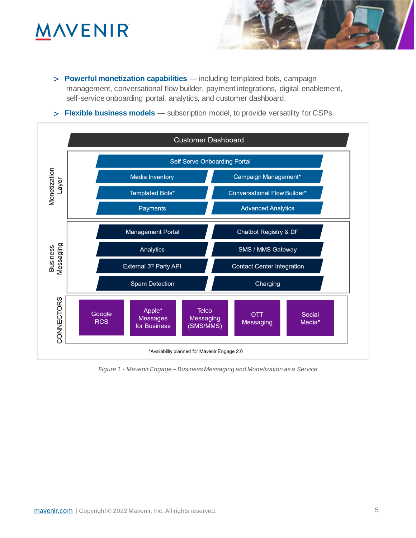## **INVENIR**

 **Powerful monetization capabilities** — including templated bots, campaign management, conversational flow builder, payment integrations, digital enablement, self-service onboarding portal, analytics, and customer dashboard.

 $S$  O  $\rightarrow$   $S$   $\rightarrow$   $S$ 

**Flexible business models** — subscription model, to provide versatility for CSPs.



*Figure 1 - Mavenir Engage – Business Messaging and Monetization as a Service*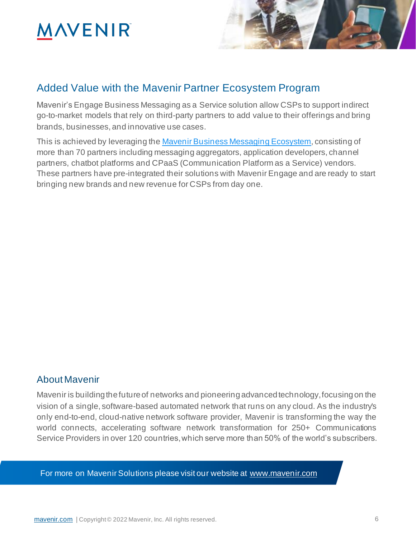

### Added Value with the Mavenir Partner Ecosystem Program

Mavenir's Engage Business Messaging as a Service solution allow CSPs to support indirect go-to-market models that rely on third-party partners to add value to their offerings and bring brands, businesses, and innovative use cases.

This is achieved by leveraging the Mavenir Business Messaging Ecosystem, consisting of more than 70 partners including messaging aggregators, application developers, channel partners, chatbot platforms and CPaaS (Communication Platform as a Service) vendors. These partners have pre-integrated their solutions with Mavenir Engage and are ready to start bringing new brands and new revenue for CSPs from day one.

#### About Mavenir

Mavenir is building the future of networks and pioneering advanced technology, focusing on the vision of a single, software-based automated network that runs on any cloud. As the industry's only end-to-end, cloud-native network software provider, Mavenir is transforming the way the world connects, accelerating software network transformation for 250+ Communications Service Providers in over 120 countries, which serve more than 50% of the world's subscribers.

For more on Mavenir Solutions please visit our website at www.mavenir.com